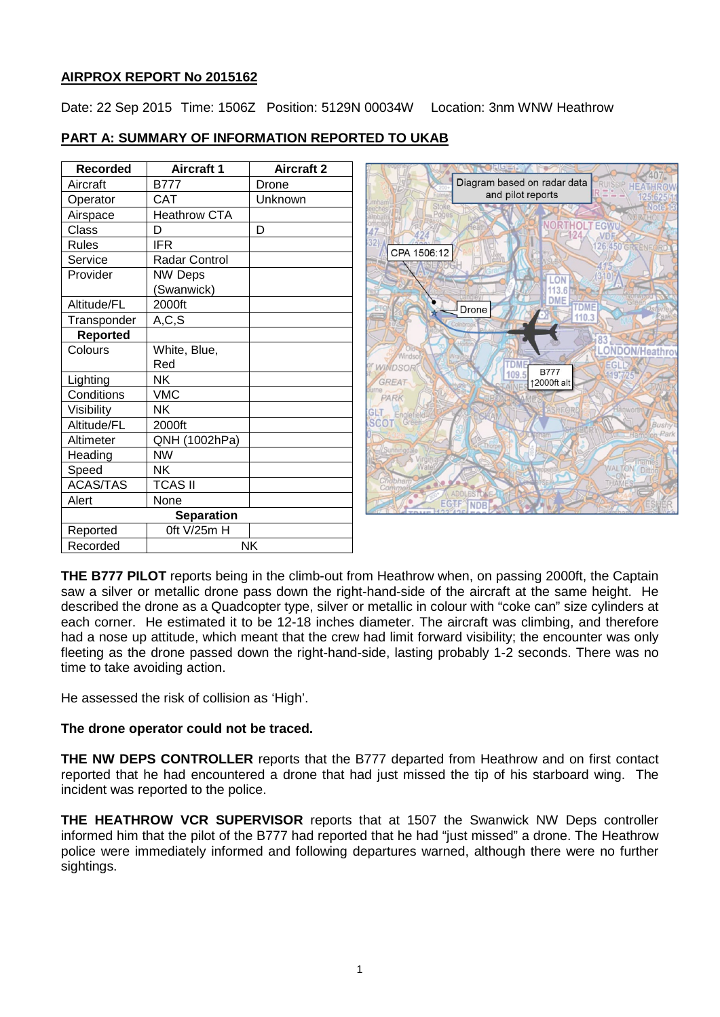# **AIRPROX REPORT No 2015162**

Date: 22 Sep 2015 Time: 1506Z Position: 5129N 00034W Location: 3nm WNW Heathrow

|  | <b>PART A: SUMMARY OF INFORMATION REPORTED TO UKAB</b> |
|--|--------------------------------------------------------|
|  |                                                        |

| <b>Recorded</b>   | <b>Aircraft 1</b>    | <b>Aircraft 2</b> |  |  |
|-------------------|----------------------|-------------------|--|--|
| Aircraft          | <b>B777</b>          | Drone             |  |  |
| Operator          | CAT                  | Unknown           |  |  |
| Airspace          | <b>Heathrow CTA</b>  |                   |  |  |
| Class             | D                    | D                 |  |  |
| <b>Rules</b>      | <b>IFR</b>           |                   |  |  |
| Service           | <b>Radar Control</b> |                   |  |  |
| Provider          | <b>NW Deps</b>       |                   |  |  |
|                   | (Swanwick)           |                   |  |  |
| Altitude/FL       | 2000ft               |                   |  |  |
| Transponder       | A, C, S              |                   |  |  |
| <b>Reported</b>   |                      |                   |  |  |
| Colours           | White, Blue,         |                   |  |  |
|                   | Red                  |                   |  |  |
| Lighting          | NΚ                   |                   |  |  |
| Conditions        | <b>VMC</b>           |                   |  |  |
| Visibility        | NΚ                   |                   |  |  |
| Altitude/FL       | 2000ft               |                   |  |  |
| Altimeter         | QNH (1002hPa)        |                   |  |  |
| Heading           | <b>NW</b>            |                   |  |  |
| Speed             | NΚ                   |                   |  |  |
| <b>ACAS/TAS</b>   | <b>TCAS II</b>       |                   |  |  |
| Alert             | None                 |                   |  |  |
| <b>Separation</b> |                      |                   |  |  |
| Reported          | 0ft V/25m H          |                   |  |  |
| Recorded          | NK                   |                   |  |  |



**THE B777 PILOT** reports being in the climb-out from Heathrow when, on passing 2000ft, the Captain saw a silver or metallic drone pass down the right-hand-side of the aircraft at the same height. He described the drone as a Quadcopter type, silver or metallic in colour with "coke can" size cylinders at each corner. He estimated it to be 12-18 inches diameter. The aircraft was climbing, and therefore had a nose up attitude, which meant that the crew had limit forward visibility; the encounter was only fleeting as the drone passed down the right-hand-side, lasting probably 1-2 seconds. There was no time to take avoiding action.

He assessed the risk of collision as 'High'.

# **The drone operator could not be traced.**

**THE NW DEPS CONTROLLER** reports that the B777 departed from Heathrow and on first contact reported that he had encountered a drone that had just missed the tip of his starboard wing. The incident was reported to the police.

**THE HEATHROW VCR SUPERVISOR** reports that at 1507 the Swanwick NW Deps controller informed him that the pilot of the B777 had reported that he had "just missed" a drone. The Heathrow police were immediately informed and following departures warned, although there were no further sightings.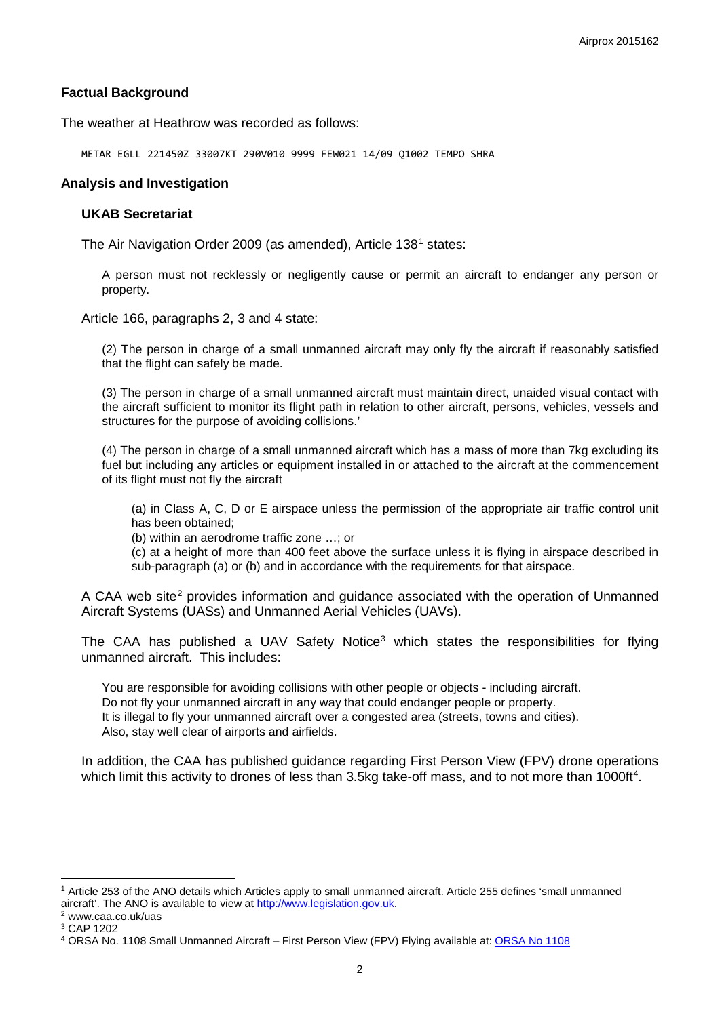### **Factual Background**

The weather at Heathrow was recorded as follows:

METAR EGLL 221450Z 33007KT 290V010 9999 FEW021 14/09 Q1002 TEMPO SHRA

#### **Analysis and Investigation**

#### **UKAB Secretariat**

The Air Navigation Order 2009 (as amended), Article [1](#page-1-0)38<sup>1</sup> states:

A person must not recklessly or negligently cause or permit an aircraft to endanger any person or property.

Article 166, paragraphs 2, 3 and 4 state:

(2) The person in charge of a small unmanned aircraft may only fly the aircraft if reasonably satisfied that the flight can safely be made.

(3) The person in charge of a small unmanned aircraft must maintain direct, unaided visual contact with the aircraft sufficient to monitor its flight path in relation to other aircraft, persons, vehicles, vessels and structures for the purpose of avoiding collisions.'

(4) The person in charge of a small unmanned aircraft which has a mass of more than 7kg excluding its fuel but including any articles or equipment installed in or attached to the aircraft at the commencement of its flight must not fly the aircraft

(a) in Class A, C, D or E airspace unless the permission of the appropriate air traffic control unit has been obtained;

(b) within an aerodrome traffic zone …; or

(c) at a height of more than 400 feet above the surface unless it is flying in airspace described in sub-paragraph (a) or (b) and in accordance with the requirements for that airspace.

A CAA web site<sup>[2](#page-1-1)</sup> provides information and quidance associated with the operation of Unmanned Aircraft Systems (UASs) and Unmanned Aerial Vehicles (UAVs).

The CAA has published a UAV Safety Notice<sup>[3](#page-1-2)</sup> which states the responsibilities for flying unmanned aircraft. This includes:

You are responsible for avoiding collisions with other people or objects - including aircraft. Do not fly your unmanned aircraft in any way that could endanger people or property. It is illegal to fly your unmanned aircraft over a congested area (streets, towns and cities). Also, stay well clear of airports and airfields.

In addition, the CAA has published guidance regarding First Person View (FPV) drone operations which limit this activity to drones of less than 3.5kg take-off mass, and to not more than 1000ft<sup>[4](#page-1-3)</sup>.

l

<span id="page-1-0"></span><sup>1</sup> Article 253 of the ANO details which Articles apply to small unmanned aircraft. Article 255 defines 'small unmanned aircraft'. The ANO is available to view at [http://www.legislation.gov.uk.](http://www.legislation.gov.uk/) 2 www.caa.co.uk/uas

<span id="page-1-2"></span><span id="page-1-1"></span><sup>3</sup> CAP 1202

<span id="page-1-3"></span><sup>4</sup> ORSA No. 1108 Small Unmanned Aircraft – First Person View (FPV) Flying available at[: ORSA No 1108](http://publicapps.caa.co.uk/modalapplication.aspx?appid=11&catid=1&id=6746&mode=detail&pagetype=65)